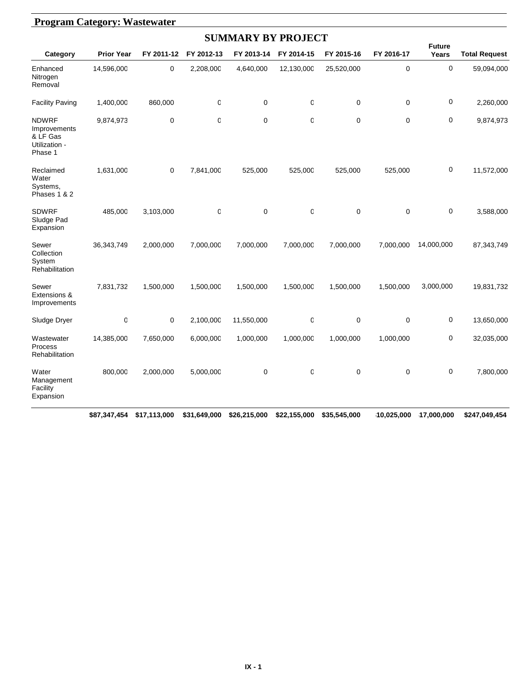|                                                                      |                   |             |              | <b>SUMMARY BY PROJECT</b> |                  |            |             |                        |                      |
|----------------------------------------------------------------------|-------------------|-------------|--------------|---------------------------|------------------|------------|-------------|------------------------|----------------------|
| Category                                                             | <b>Prior Year</b> | FY 2011-12  | FY 2012-13   | FY 2013-14                | FY 2014-15       | FY 2015-16 | FY 2016-17  | <b>Future</b><br>Years | <b>Total Request</b> |
| Enhanced<br>Nitrogen<br>Removal                                      | 14,596,000        | 0           | 2,208,000    | 4,640,000                 | 12,130,000       | 25,520,000 | $\mathbf 0$ | $\mathbf 0$            | 59,094,000           |
| <b>Facility Paving</b>                                               | 1,400,000         | 860,000     | $\mathbb{C}$ | 0                         | $\boldsymbol{0}$ | 0          | $\pmb{0}$   | $\pmb{0}$              | 2,260,000            |
| <b>NDWRF</b><br>Improvements<br>& LF Gas<br>Utilization -<br>Phase 1 | 9,874,973         | $\mathbf 0$ | $\mathbf 0$  | $\mathbf 0$               | 0                | 0          | $\mathbf 0$ | $\mathbf 0$            | 9,874,973            |
| Reclaimed<br>Water<br>Systems,<br>Phases 1 & 2                       | 1,631,000         | $\mathbf 0$ | 7,841,000    | 525,000                   | 525,000          | 525,000    | 525,000     | $\mathbf 0$            | 11,572,000           |
| <b>SDWRF</b><br>Sludge Pad<br>Expansion                              | 485,000           | 3,103,000   | $\mathsf 0$  | $\mathbf 0$               | $\mathbf 0$      | 0          | $\mathbf 0$ | $\mathbf 0$            | 3,588,000            |
| Sewer<br>Collection<br>System<br>Rehabilitation                      | 36,343,749        | 2,000,000   | 7,000,000    | 7,000,000                 | 7,000,000        | 7,000,000  | 7,000,000   | 14,000,000             | 87,343,749           |
| Sewer<br>Extensions &<br>Improvements                                | 7,831,732         | 1,500,000   | 1,500,000    | 1,500,000                 | 1,500,000        | 1,500,000  | 1,500,000   | 3,000,000              | 19,831,732           |
| Sludge Dryer                                                         | O                 | $\mathbf 0$ | 2,100,000    | 11,550,000                | 0                | 0          | $\mathbf 0$ | 0                      | 13,650,000           |
| Wastewater<br>Process<br>Rehabilitation                              | 14,385,000        | 7,650,000   | 6,000,000    | 1,000,000                 | 1,000,000        | 1,000,000  | 1,000,000   | $\mathbf 0$            | 32,035,000           |
| Water<br>Management<br>Facility<br>Expansion                         | 800,000           | 2,000,000   | 5,000,000    | $\mathbf 0$               | 0                | 0          | $\mathbf 0$ | $\mathbf 0$            | 7,800,000            |

#### **\$87,347,454 \$17,113,000 \$31,649,000 \$26,215,000 \$22,155,000 \$35,545,000 \$10,025,000 \$17,000,000 \$247,049,454**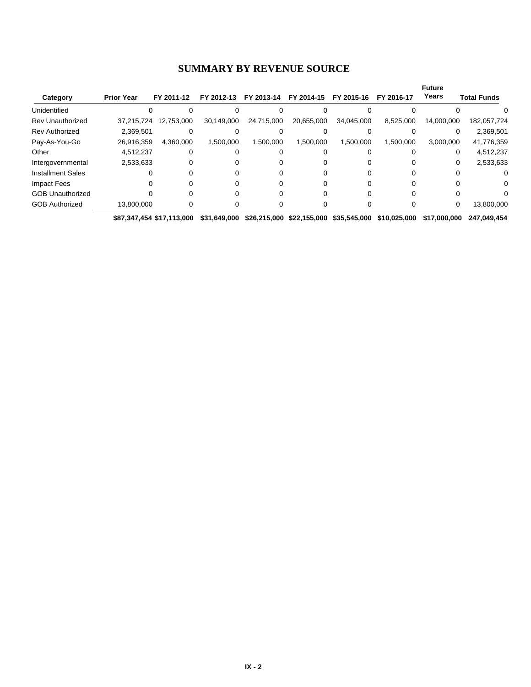#### **SUMMARY BY REVENUE SOURCE**

|                          |                   |            |            |            |            |            |            | <b>Future</b> |                    |
|--------------------------|-------------------|------------|------------|------------|------------|------------|------------|---------------|--------------------|
| Category                 | <b>Prior Year</b> | FY 2011-12 | FY 2012-13 | FY 2013-14 | FY 2014-15 | FY 2015-16 | FY 2016-17 | Years         | <b>Total Funds</b> |
| Unidentified             |                   |            |            |            |            |            |            |               |                    |
| Rev Unauthorized         | 37.215.724        | 12,753,000 | 30,149,000 | 24,715,000 | 20,655,000 | 34,045,000 | 8,525,000  | 14,000,000    | 182,057,724        |
| <b>Rev Authorized</b>    | 2,369,501         |            |            |            |            |            |            |               | 2,369,501          |
| Pay-As-You-Go            | 26,916,359        | 4.360.000  | 1,500,000  | 1.500.000  | 1,500,000  | 1,500,000  | 1,500,000  | 3,000,000     | 41,776,359         |
| Other                    | 4,512,237         | 0          |            |            |            |            |            |               | 4,512,237          |
| Intergovernmental        | 2,533,633         |            | 0          |            |            |            |            |               | 2,533,633          |
| <b>Installment Sales</b> |                   |            |            |            |            |            |            |               |                    |
| Impact Fees              |                   |            |            |            |            |            |            |               |                    |
| <b>GOB Unauthorized</b>  |                   |            |            |            |            |            |            |               |                    |
| <b>GOB Authorized</b>    | 13,800,000        |            |            |            |            |            |            | 0             | 13,800,000         |

**\$87,347,454 \$17,113,000 \$31,649,000 \$26,215,000 \$22,155,000 \$35,545,000 \$10,025,000 \$17,000,000 \$247,049,454**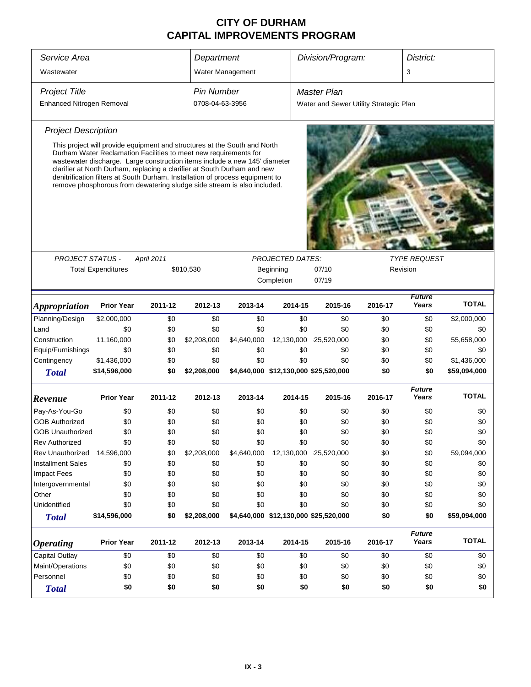| Service Area                | Department                                                                                                                                                                                                                                                                                                                                                                             |            |                   |                         |                     | Division/Program:                      |         | District:              |              |  |  |
|-----------------------------|----------------------------------------------------------------------------------------------------------------------------------------------------------------------------------------------------------------------------------------------------------------------------------------------------------------------------------------------------------------------------------------|------------|-------------------|-------------------------|---------------------|----------------------------------------|---------|------------------------|--------------|--|--|
| Wastewater                  |                                                                                                                                                                                                                                                                                                                                                                                        |            |                   | Water Management        |                     |                                        |         | 3                      |              |  |  |
| <b>Project Title</b>        |                                                                                                                                                                                                                                                                                                                                                                                        |            | <b>Pin Number</b> |                         |                     | Master Plan                            |         |                        |              |  |  |
| Enhanced Nitrogen Removal   |                                                                                                                                                                                                                                                                                                                                                                                        |            | 0708-04-63-3956   |                         |                     | Water and Sewer Utility Strategic Plan |         |                        |              |  |  |
| <b>Project Description</b>  |                                                                                                                                                                                                                                                                                                                                                                                        |            |                   |                         |                     |                                        |         |                        |              |  |  |
|                             | This project will provide equipment and structures at the South and North                                                                                                                                                                                                                                                                                                              |            |                   |                         |                     |                                        |         |                        |              |  |  |
|                             | Durham Water Reclamation Facilities to meet new requirements for<br>wastewater discharge. Large construction items include a new 145' diameter<br>clarifier at North Durham, replacing a clarifier at South Durham and new<br>denitrification filters at South Durham. Installation of process equipment to<br>remove phosphorous from dewatering sludge side stream is also included. |            |                   |                         |                     |                                        |         |                        |              |  |  |
|                             |                                                                                                                                                                                                                                                                                                                                                                                        |            |                   |                         |                     |                                        |         |                        |              |  |  |
| PROJECT STATUS -            |                                                                                                                                                                                                                                                                                                                                                                                        | April 2011 |                   | <b>PROJECTED DATES:</b> | <b>TYPE REQUEST</b> |                                        |         |                        |              |  |  |
|                             | <b>Total Expenditures</b>                                                                                                                                                                                                                                                                                                                                                              |            | \$810,530         |                         | Beginning           | 07/10                                  |         | Revision               |              |  |  |
|                             |                                                                                                                                                                                                                                                                                                                                                                                        |            |                   |                         | Completion          |                                        |         |                        |              |  |  |
| <i><b>Appropriation</b></i> | <b>Prior Year</b>                                                                                                                                                                                                                                                                                                                                                                      | 2011-12    | 2012-13           | 2013-14                 |                     | 07/19<br>2014-15<br>2015-16<br>2016-17 |         | <b>Future</b><br>Years | <b>TOTAL</b> |  |  |
| Planning/Design             | \$2,000,000                                                                                                                                                                                                                                                                                                                                                                            | \$0        | \$0               | \$0                     | \$0                 | \$0                                    | \$0     | \$0                    | \$2,000,000  |  |  |
| Land                        | \$0                                                                                                                                                                                                                                                                                                                                                                                    | \$0        | \$0               | \$0                     | \$0                 | \$0                                    | \$0     | \$0                    | \$0          |  |  |
| Construction                | 11,160,000                                                                                                                                                                                                                                                                                                                                                                             | \$0        | \$2,208,000       | \$4,640,000             | 12,130,000          | 25,520,000                             | \$0     | \$0                    | 55,658,000   |  |  |
| Equip/Furnishings           | \$0                                                                                                                                                                                                                                                                                                                                                                                    | \$0        | \$0               | \$0                     | \$0                 | \$0                                    | \$0     | \$0                    | \$0          |  |  |
| Contingency                 | \$1,436,000                                                                                                                                                                                                                                                                                                                                                                            | \$0        | \$0               | \$0                     | \$0                 | \$0                                    | \$0     | \$0                    | \$1,436,000  |  |  |
| <b>Total</b>                | \$14,596,000                                                                                                                                                                                                                                                                                                                                                                           | \$0        | \$2,208,000       |                         |                     | \$4,640,000 \$12,130,000 \$25,520,000  | \$0     | \$0                    | \$59,094,000 |  |  |
| Revenue                     | <b>Prior Year</b>                                                                                                                                                                                                                                                                                                                                                                      | 2011-12    | 2012-13           | 2013-14                 | 2014-15             | 2015-16                                | 2016-17 | <b>Future</b><br>Years | <b>TOTAL</b> |  |  |
| Pay-As-You-Go               | \$0                                                                                                                                                                                                                                                                                                                                                                                    | \$0        | \$0               | \$0                     | \$0                 | \$0                                    | \$0     | \$0                    | \$0          |  |  |
| <b>GOB Authorized</b>       | \$0                                                                                                                                                                                                                                                                                                                                                                                    | \$0        | \$0               | \$0                     | \$0                 | \$0                                    | \$0     | \$0                    | \$0          |  |  |
| GOB Unauthorized            | \$0                                                                                                                                                                                                                                                                                                                                                                                    | \$0        | \$0               | \$0                     | \$0                 | \$0                                    | \$0     | \$0                    | \$0          |  |  |
| <b>Rev Authorized</b>       | \$0                                                                                                                                                                                                                                                                                                                                                                                    | \$0        | \$0               | \$0                     | \$0                 | \$0                                    | \$0     | \$0                    | \$0          |  |  |
| Rev Unauthorized            | 14,596,000                                                                                                                                                                                                                                                                                                                                                                             | \$0        | \$2,208,000       | \$4,640,000             | 12,130,000          | 25,520,000                             | \$0     | \$0                    | 59,094,000   |  |  |
| <b>Installment Sales</b>    | \$0                                                                                                                                                                                                                                                                                                                                                                                    | \$0        | \$0               | \$0                     | \$0                 | \$0                                    | \$0     | \$0                    | \$0          |  |  |
| <b>Impact Fees</b>          | \$0                                                                                                                                                                                                                                                                                                                                                                                    | \$0        | \$0               | \$0                     | \$0                 | \$0                                    | \$0     | \$0                    | \$0          |  |  |
| Intergovernmental           | \$0                                                                                                                                                                                                                                                                                                                                                                                    | \$0        | \$0               | \$0                     | \$0                 | \$0                                    | \$0     | \$0                    | \$0          |  |  |
| Other                       | \$0                                                                                                                                                                                                                                                                                                                                                                                    | \$0        | \$0               | \$0                     | \$0                 | \$0                                    | \$0     | \$0                    | \$0          |  |  |
| Unidentified                | \$0                                                                                                                                                                                                                                                                                                                                                                                    | \$0        | \$0               | \$0                     | \$0                 | \$0                                    | \$0     | \$0                    | \$0          |  |  |
| <b>Total</b>                | \$14,596,000                                                                                                                                                                                                                                                                                                                                                                           | \$0        | \$2,208,000       |                         |                     | \$4,640,000 \$12,130,000 \$25,520,000  | \$0     | \$0                    | \$59,094,000 |  |  |
| <b>Operating</b>            | <b>Prior Year</b>                                                                                                                                                                                                                                                                                                                                                                      | 2011-12    | 2012-13           | 2013-14                 | 2014-15             | 2015-16                                | 2016-17 | <b>Future</b><br>Years | <b>TOTAL</b> |  |  |
| Capital Outlay              | \$0                                                                                                                                                                                                                                                                                                                                                                                    | \$0        | \$0               | \$0                     | \$0                 | \$0                                    | \$0     | \$0                    | \$0          |  |  |
| Maint/Operations            | \$0                                                                                                                                                                                                                                                                                                                                                                                    | \$0        | \$0               | \$0                     | \$0                 | \$0                                    | \$0     | \$0                    | \$0          |  |  |
| Personnel                   | \$0                                                                                                                                                                                                                                                                                                                                                                                    | \$0        | \$0               | \$0                     | \$0                 | \$0                                    | \$0     | \$0                    | \$0          |  |  |
| <b>Total</b>                | \$0                                                                                                                                                                                                                                                                                                                                                                                    | \$0        | \$0               | \$0                     | \$0                 | \$0                                    | \$0     | \$0                    | \$0          |  |  |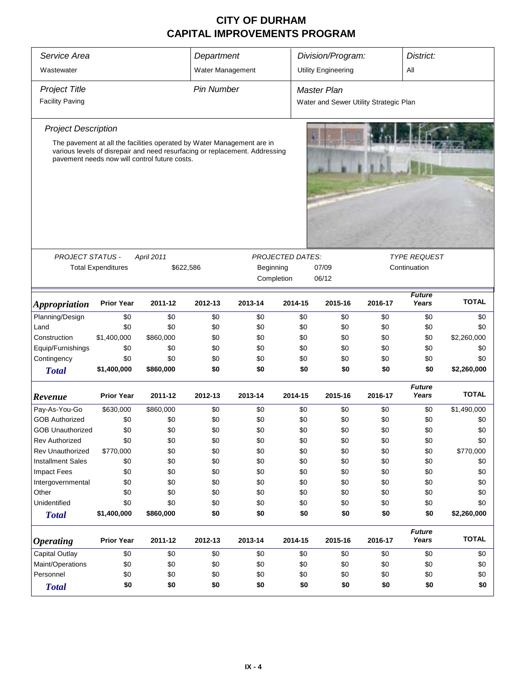| Service Area                |                           |                                                                                                                              | Department        |           |                         | Division/Program:                      |              | District:              |              |
|-----------------------------|---------------------------|------------------------------------------------------------------------------------------------------------------------------|-------------------|-----------|-------------------------|----------------------------------------|--------------|------------------------|--------------|
| Wastewater                  |                           |                                                                                                                              | Water Management  |           |                         | <b>Utility Engineering</b>             |              | All                    |              |
| <b>Project Title</b>        |                           |                                                                                                                              | <b>Pin Number</b> |           |                         | Master Plan                            |              |                        |              |
| <b>Facility Paving</b>      |                           |                                                                                                                              |                   |           |                         | Water and Sewer Utility Strategic Plan |              |                        |              |
| <b>Project Description</b>  |                           |                                                                                                                              |                   |           |                         |                                        |              |                        |              |
|                             |                           | The pavement at all the facilities operated by Water Management are in                                                       |                   |           |                         |                                        |              |                        |              |
|                             |                           | various levels of disrepair and need resurfacing or replacement. Addressing<br>pavement needs now will control future costs. |                   |           |                         |                                        |              |                        |              |
| <b>PROJECT STATUS -</b>     |                           | April 2011                                                                                                                   |                   |           | <b>PROJECTED DATES:</b> |                                        |              | <b>TYPE REQUEST</b>    |              |
|                             | <b>Total Expenditures</b> | \$622,586                                                                                                                    |                   | Beginning | Completion              | 07/09<br>06/12                         |              | Continuation           |              |
| <i><b>Appropriation</b></i> | <b>Prior Year</b>         | 2011-12                                                                                                                      | 2012-13           | 2013-14   | 2014-15                 | 2015-16                                | <b>TOTAL</b> |                        |              |
| Planning/Design             | \$0                       | \$0                                                                                                                          | \$0               | \$0       | \$0                     | \$0                                    | \$0          | \$0                    | \$0          |
| Land                        | \$0                       | \$0                                                                                                                          | \$0               | \$0       | \$0                     | \$0                                    | \$0          | \$0                    | \$0          |
| Construction                | \$1,400,000               | \$860,000                                                                                                                    | \$0               | \$0       | \$0                     | \$0                                    | \$0          | \$0                    | \$2,260,000  |
| Equip/Furnishings           | \$0                       | \$0                                                                                                                          | \$0               | \$0       | \$0                     | \$0                                    | \$0          | \$0                    | \$0          |
| Contingency                 | \$0                       | \$0                                                                                                                          | \$0               | \$0       | \$0                     | \$0                                    | \$0          | \$0                    | \$0          |
| <b>Total</b>                | \$1,400,000               | \$860,000                                                                                                                    | \$0               | \$0       | \$0                     | \$0                                    | \$0          | \$0                    | \$2,260,000  |
| Revenue                     | <b>Prior Year</b>         | 2011-12                                                                                                                      | 2012-13           | 2013-14   | 2014-15                 | 2015-16                                | 2016-17      | <b>Future</b><br>Years | <b>TOTAL</b> |
| Pay-As-You-Go               | \$630,000                 | \$860,000                                                                                                                    | \$0               | \$0       | \$0                     | \$0                                    | \$0          | \$0                    | \$1,490,000  |
| <b>GOB Authorized</b>       | \$0                       | \$0                                                                                                                          | \$0               | \$0       | \$0                     | \$0                                    | \$0          | \$0                    | \$0          |
| <b>GOB Unauthorized</b>     | \$0                       | \$0                                                                                                                          | \$0               | \$0       | \$0                     | \$0                                    | \$0          | \$0                    | \$0          |
| <b>Rev Authorized</b>       | \$0                       | \$0                                                                                                                          | \$0               | \$0       | \$0                     | \$0                                    | \$0          | \$0                    | \$0          |
| <b>Rev Unauthorized</b>     | \$770,000                 | \$0                                                                                                                          | \$0               | \$0       | \$0                     | \$0                                    | \$0          | \$0                    | \$770,000    |
| <b>Installment Sales</b>    | \$0                       | \$0                                                                                                                          | \$0               | \$0       | \$0                     | \$0                                    | \$0          | \$0                    | \$0          |
| Impact Fees                 | \$0                       | \$0                                                                                                                          | \$0               | \$0       | \$0                     | \$0                                    | \$0          | \$0                    | \$0          |
| Intergovernmental           | \$0                       | \$0                                                                                                                          | \$0               | \$0       | \$0                     | \$0                                    | \$0          | \$0                    | \$0          |
| Other                       | \$0                       | \$0                                                                                                                          | \$0               | \$0       | \$0                     | \$0                                    | \$0          | \$0                    | \$0          |
| Unidentified                | \$0                       | \$0                                                                                                                          | \$0               | \$0       | \$0                     | \$0                                    | \$0          | \$0                    | \$0          |
| <b>Total</b>                | \$1,400,000               | \$860,000                                                                                                                    | \$0               | \$0       | \$0                     | \$0                                    | \$0          | \$0                    | \$2,260,000  |
| <b>Operating</b>            | <b>Prior Year</b>         | 2011-12                                                                                                                      | 2012-13           | 2013-14   | 2014-15                 | 2015-16                                | 2016-17      | <b>Future</b><br>Years | <b>TOTAL</b> |
| <b>Capital Outlay</b>       | \$0                       | \$0                                                                                                                          | \$0               | \$0       | \$0                     | \$0                                    | \$0          | \$0                    | \$0          |
| Maint/Operations            | \$0                       | \$0                                                                                                                          | \$0               | \$0       | \$0                     | \$0                                    | \$0          | \$0                    | \$0          |
| Personnel                   | \$0<br>\$0<br>\$0<br>\$0  |                                                                                                                              |                   |           |                         | \$0<br>\$0                             | \$0          | \$0                    | \$0          |
| <b>Total</b>                | \$0                       | \$0                                                                                                                          | \$0               | \$0       | \$0                     | \$0                                    | \$0          | \$0                    | \$0          |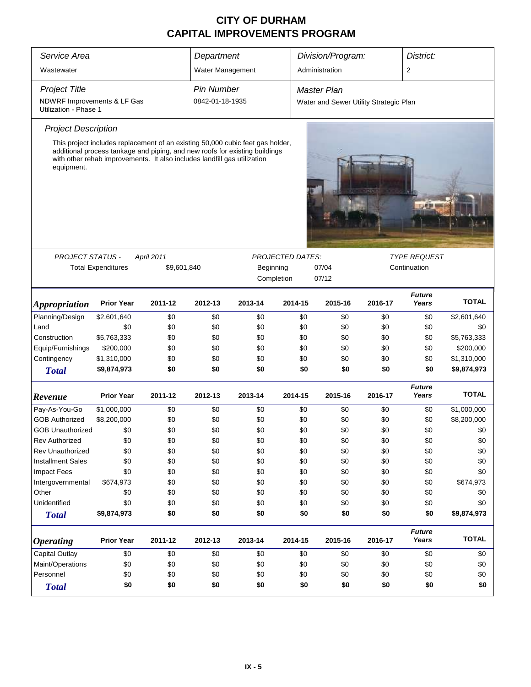| Service Area                                         |                                                                                                                                                                                                                                           |                                   | Department        |         |                         | Division/Program:                      |         |                        | District:    |  |
|------------------------------------------------------|-------------------------------------------------------------------------------------------------------------------------------------------------------------------------------------------------------------------------------------------|-----------------------------------|-------------------|---------|-------------------------|----------------------------------------|---------|------------------------|--------------|--|
| Wastewater                                           |                                                                                                                                                                                                                                           |                                   | Water Management  |         |                         | Administration                         |         | 2                      |              |  |
|                                                      |                                                                                                                                                                                                                                           |                                   |                   |         |                         |                                        |         |                        |              |  |
| <b>Project Title</b>                                 |                                                                                                                                                                                                                                           |                                   | <b>Pin Number</b> |         |                         | <b>Master Plan</b>                     |         |                        |              |  |
| NDWRF Improvements & LF Gas<br>Utilization - Phase 1 |                                                                                                                                                                                                                                           |                                   | 0842-01-18-1935   |         |                         | Water and Sewer Utility Strategic Plan |         |                        |              |  |
| <b>Project Description</b>                           |                                                                                                                                                                                                                                           |                                   |                   |         |                         |                                        |         |                        |              |  |
| equipment.                                           | This project includes replacement of an existing 50,000 cubic feet gas holder,<br>additional process tankage and piping, and new roofs for existing buildings<br>with other rehab improvements. It also includes landfill gas utilization |                                   |                   |         |                         |                                        |         |                        |              |  |
|                                                      |                                                                                                                                                                                                                                           |                                   |                   |         |                         |                                        |         |                        |              |  |
| <b>PROJECT STATUS -</b>                              |                                                                                                                                                                                                                                           | <b>April 2011</b>                 |                   |         | <b>PROJECTED DATES:</b> |                                        |         | <b>TYPE REQUEST</b>    |              |  |
|                                                      | <b>Total Expenditures</b>                                                                                                                                                                                                                 | Beginning<br>\$9,601,840<br>07/04 |                   |         |                         |                                        |         | Continuation           |              |  |
|                                                      |                                                                                                                                                                                                                                           |                                   |                   |         | Completion              | 07/12                                  |         |                        |              |  |
| <b>Appropriation</b>                                 | <b>Prior Year</b>                                                                                                                                                                                                                         | 2011-12                           | 2012-13           | 2013-14 | 2014-15                 | 2015-16                                | 2016-17 | <b>TOTAL</b>           |              |  |
| Planning/Design                                      | \$2,601,640                                                                                                                                                                                                                               | \$0                               | \$0               | \$0     | \$0                     | \$0                                    | \$0     | \$0                    | \$2,601,640  |  |
| Land                                                 | \$0                                                                                                                                                                                                                                       | \$0                               | \$0               | \$0     | \$0                     | \$0                                    | \$0     | \$0                    | \$0          |  |
| Construction                                         | \$5,763,333                                                                                                                                                                                                                               | \$0                               | \$0               | \$0     | \$0                     | \$0                                    | \$0     | \$0                    | \$5,763,333  |  |
| Equip/Furnishings                                    | \$200,000                                                                                                                                                                                                                                 | \$0                               | \$0               | \$0     | \$0                     | \$0                                    | \$0     | \$0                    | \$200,000    |  |
| Contingency                                          | \$1,310,000                                                                                                                                                                                                                               | \$0                               | \$0               | \$0     | \$0                     | \$0                                    | \$0     | \$0                    | \$1,310,000  |  |
| <b>Total</b>                                         | \$9,874,973                                                                                                                                                                                                                               | \$0                               | \$0               | \$0     | \$0                     | \$0                                    | \$0     | \$0                    | \$9,874,973  |  |
| Revenue                                              | <b>Prior Year</b>                                                                                                                                                                                                                         | 2011-12                           | 2012-13           | 2013-14 | 2014-15                 | 2015-16                                | 2016-17 | <b>Future</b><br>Years | <b>TOTAL</b> |  |
| Pay-As-You-Go                                        | \$1,000,000                                                                                                                                                                                                                               | \$0                               | \$0               | \$0     | \$0                     | \$0                                    | \$0     | \$0                    | \$1,000,000  |  |
| <b>GOB Authorized</b>                                | \$8,200,000                                                                                                                                                                                                                               | \$0                               | \$0               | \$0     | \$0                     | \$0                                    | \$0     | \$0                    | \$8,200,000  |  |
| <b>GOB Unauthorized</b>                              | \$0                                                                                                                                                                                                                                       | \$0                               | \$0               | \$0     | \$0                     | \$0                                    | \$0     | \$0                    | \$0          |  |
| <b>Rev Authorized</b>                                | \$0                                                                                                                                                                                                                                       | \$0                               | \$0               | \$0     | \$0                     | \$0                                    | \$0     | \$0                    | \$0          |  |
| <b>Rev Unauthorized</b>                              | \$0                                                                                                                                                                                                                                       | \$0                               | \$0               | \$0     | \$0                     | \$0                                    | \$0     | \$0                    | \$0          |  |
| <b>Installment Sales</b>                             | \$0                                                                                                                                                                                                                                       | \$0                               | \$0               | \$0     | \$0                     | \$0                                    | \$0     | \$0                    | \$0          |  |
| <b>Impact Fees</b>                                   | \$0                                                                                                                                                                                                                                       | \$0                               | \$0               | \$0     | \$0                     | \$0                                    | \$0     | \$0                    | \$0          |  |
| Intergovernmental                                    | \$674,973                                                                                                                                                                                                                                 | \$0                               | \$0               | \$0     | \$0                     | \$0                                    | \$0     | \$0                    | \$674,973    |  |
| Other                                                | \$0                                                                                                                                                                                                                                       | \$0                               | \$0               | \$0     | \$0                     | \$0                                    | \$0     | \$0                    | \$0          |  |
| Unidentified                                         | \$0                                                                                                                                                                                                                                       | \$0                               | \$0               | \$0     | \$0                     | \$0                                    | \$0     | \$0                    | \$0          |  |
| <b>Total</b>                                         | \$9,874,973                                                                                                                                                                                                                               | \$0                               | \$0               | \$0     | \$0                     | \$0                                    | \$0     | \$0                    | \$9,874,973  |  |
| <b>Operating</b>                                     | <b>Prior Year</b><br>2011-12<br>2012-13<br>2014-15<br>2013-14                                                                                                                                                                             |                                   |                   |         |                         | 2015-16                                | 2016-17 | <b>Future</b><br>Years | <b>TOTAL</b> |  |
| <b>Capital Outlay</b>                                | \$0<br>\$0<br>\$0<br>\$0                                                                                                                                                                                                                  |                                   |                   |         |                         | \$0                                    | \$0     | \$0                    | \$0          |  |
| Maint/Operations                                     | \$0<br>\$0<br>\$0<br>\$0                                                                                                                                                                                                                  |                                   |                   |         | \$0<br>\$0              | \$0                                    | \$0     | \$0                    | \$0          |  |
| Personnel                                            | \$0<br>\$0<br>\$0<br>\$0                                                                                                                                                                                                                  |                                   |                   |         | \$0                     | \$0                                    | \$0     | \$0                    | \$0          |  |
| <b>Total</b>                                         | \$0                                                                                                                                                                                                                                       | \$0                               | \$0               | \$0     | \$0                     | \$0                                    | \$0     | \$0                    | \$0          |  |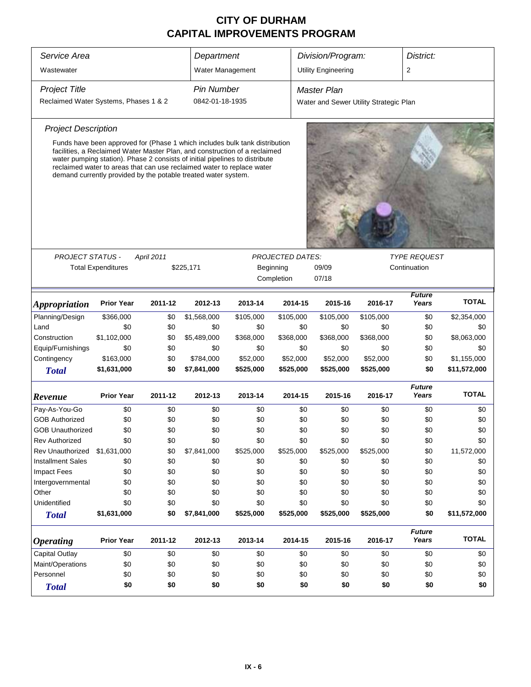| Service Area                          |                                                                                                                                                                                                                                                                                                                                                                                      |                                                                                                 | Department        |           |            | Division/Program:          |                                        | District:                           |              |  |
|---------------------------------------|--------------------------------------------------------------------------------------------------------------------------------------------------------------------------------------------------------------------------------------------------------------------------------------------------------------------------------------------------------------------------------------|-------------------------------------------------------------------------------------------------|-------------------|-----------|------------|----------------------------|----------------------------------------|-------------------------------------|--------------|--|
| Wastewater                            |                                                                                                                                                                                                                                                                                                                                                                                      |                                                                                                 | Water Management  |           |            | <b>Utility Engineering</b> |                                        | 2                                   |              |  |
| <b>Project Title</b>                  |                                                                                                                                                                                                                                                                                                                                                                                      |                                                                                                 | <b>Pin Number</b> |           |            | <b>Master Plan</b>         |                                        |                                     |              |  |
| Reclaimed Water Systems, Phases 1 & 2 |                                                                                                                                                                                                                                                                                                                                                                                      |                                                                                                 | 0842-01-18-1935   |           |            |                            | Water and Sewer Utility Strategic Plan |                                     |              |  |
| <b>Project Description</b>            |                                                                                                                                                                                                                                                                                                                                                                                      |                                                                                                 |                   |           |            |                            |                                        |                                     |              |  |
|                                       | Funds have been approved for (Phase 1 which includes bulk tank distribution<br>facilities, a Reclaimed Water Master Plan, and construction of a reclaimed<br>water pumping station). Phase 2 consists of initial pipelines to distribute<br>reclaimed water to areas that can use reclaimed water to replace water<br>demand currently provided by the potable treated water system. |                                                                                                 |                   |           |            |                            |                                        |                                     |              |  |
|                                       |                                                                                                                                                                                                                                                                                                                                                                                      |                                                                                                 |                   |           |            |                            |                                        |                                     |              |  |
| <b>PROJECT STATUS -</b>               | <b>Total Expenditures</b>                                                                                                                                                                                                                                                                                                                                                            | April 2011<br><b>PROJECTED DATES:</b><br>\$225,171<br>Beginning<br>09/09<br>Completion<br>07/18 |                   |           |            |                            |                                        | <b>TYPE REQUEST</b><br>Continuation |              |  |
| <i><b>Appropriation</b></i>           | <b>Prior Year</b>                                                                                                                                                                                                                                                                                                                                                                    | 2011-12                                                                                         | 2012-13           | 2013-14   | 2014-15    | 2015-16                    | 2016-17                                | <b>Future</b><br>Years              | <b>TOTAL</b> |  |
| Planning/Design                       | \$366,000                                                                                                                                                                                                                                                                                                                                                                            | \$0                                                                                             | \$1,568,000       | \$105,000 | \$105,000  | \$105,000                  | \$105,000                              | \$0                                 | \$2,354,000  |  |
| Land                                  | \$0                                                                                                                                                                                                                                                                                                                                                                                  | \$0                                                                                             | \$0               | \$0       | \$0        | \$0                        | \$0                                    | \$0                                 | \$0          |  |
| Construction                          | \$1,102,000                                                                                                                                                                                                                                                                                                                                                                          | \$0                                                                                             | \$5,489,000       | \$368,000 | \$368,000  | \$368,000                  | \$368,000                              | \$0                                 | \$8,063,000  |  |
| Equip/Furnishings                     | \$0                                                                                                                                                                                                                                                                                                                                                                                  | \$0                                                                                             | \$0               | \$0       | \$0        | \$0                        | \$0                                    | \$0                                 | \$0          |  |
| Contingency                           | \$163,000                                                                                                                                                                                                                                                                                                                                                                            | \$0                                                                                             | \$784,000         | \$52,000  | \$52,000   | \$52,000                   | \$52,000                               | \$0                                 | \$1,155,000  |  |
| <b>Total</b>                          | \$1,631,000                                                                                                                                                                                                                                                                                                                                                                          | \$0                                                                                             | \$7,841,000       | \$525,000 | \$525,000  | \$525,000                  | \$525,000                              | \$0                                 | \$11,572,000 |  |
| Revenue                               | <b>Prior Year</b>                                                                                                                                                                                                                                                                                                                                                                    | 2011-12                                                                                         | 2012-13           | 2013-14   | 2014-15    | 2015-16                    | 2016-17                                | <b>Future</b><br>Years              | <b>TOTAL</b> |  |
| Pay-As-You-Go                         | \$0                                                                                                                                                                                                                                                                                                                                                                                  | \$0                                                                                             | \$0               | \$0       | \$0        | \$0                        | \$0                                    | \$0                                 | \$0          |  |
| <b>GOB Authorized</b>                 | \$0                                                                                                                                                                                                                                                                                                                                                                                  | \$0                                                                                             | \$0               | \$0       | \$0        | \$0                        | \$0                                    | \$0                                 | \$0          |  |
| <b>GOB Unauthorized</b>               | \$0                                                                                                                                                                                                                                                                                                                                                                                  | \$0                                                                                             | \$0               | \$0       | \$0        | \$0                        | \$0                                    | \$0                                 | \$0          |  |
| Rev Authorized                        | \$0                                                                                                                                                                                                                                                                                                                                                                                  | \$0                                                                                             | \$0               | \$0       | \$0        | \$0                        | \$0                                    | \$0                                 | \$0          |  |
| <b>Rev Unauthorized</b>               | \$1,631,000                                                                                                                                                                                                                                                                                                                                                                          | \$0                                                                                             | \$7,841,000       | \$525,000 | \$525,000  | \$525,000                  | \$525,000                              | \$0                                 | 11,572,000   |  |
| <b>Installment Sales</b>              | \$0                                                                                                                                                                                                                                                                                                                                                                                  | \$0                                                                                             | \$0               | \$0       | \$0        | \$0                        | \$0                                    | \$0                                 | \$0          |  |
| <b>Impact Fees</b>                    | \$0                                                                                                                                                                                                                                                                                                                                                                                  | \$0                                                                                             | \$0               | \$0       | \$0        | \$0                        | \$0                                    | \$0                                 | \$0          |  |
| Intergovernmental                     | \$0                                                                                                                                                                                                                                                                                                                                                                                  | \$0                                                                                             | \$0               | \$0       | \$0        | \$0                        | \$0                                    | \$0                                 | \$0          |  |
| Other                                 | \$0                                                                                                                                                                                                                                                                                                                                                                                  | \$0                                                                                             | \$0               | \$0       | \$0        | \$0                        | \$0                                    | \$0                                 | \$0          |  |
| Unidentified                          | \$0                                                                                                                                                                                                                                                                                                                                                                                  | \$0                                                                                             | \$0               | \$0       | \$0        | \$0                        | \$0                                    | \$0                                 | \$0          |  |
| <b>Total</b>                          | \$1,631,000                                                                                                                                                                                                                                                                                                                                                                          | \$0                                                                                             | \$7,841,000       | \$525,000 | \$525,000  | \$525,000                  | \$525,000                              | \$0                                 | \$11,572,000 |  |
| <b>Operating</b>                      | <b>Prior Year</b>                                                                                                                                                                                                                                                                                                                                                                    | 2011-12                                                                                         | 2012-13           | 2013-14   | 2014-15    | 2015-16                    | 2016-17                                | <b>Future</b><br>Years              | <b>TOTAL</b> |  |
| Capital Outlay                        | \$0                                                                                                                                                                                                                                                                                                                                                                                  | \$0                                                                                             | \$0               | \$0       | \$0        | \$0                        | \$0                                    | \$0                                 | \$0          |  |
| Maint/Operations                      | \$0                                                                                                                                                                                                                                                                                                                                                                                  | \$0                                                                                             | \$0               | \$0       | \$0        | \$0                        | \$0                                    | \$0                                 | \$0          |  |
| Personnel                             | \$0<br>\$0<br>\$0<br>\$0                                                                                                                                                                                                                                                                                                                                                             |                                                                                                 |                   |           |            | \$0                        | \$0                                    | \$0                                 | \$0          |  |
| <b>Total</b>                          | \$0                                                                                                                                                                                                                                                                                                                                                                                  | \$0                                                                                             | \$0               | \$0       | \$0<br>\$0 | \$0                        | \$0                                    | \$0                                 | \$0          |  |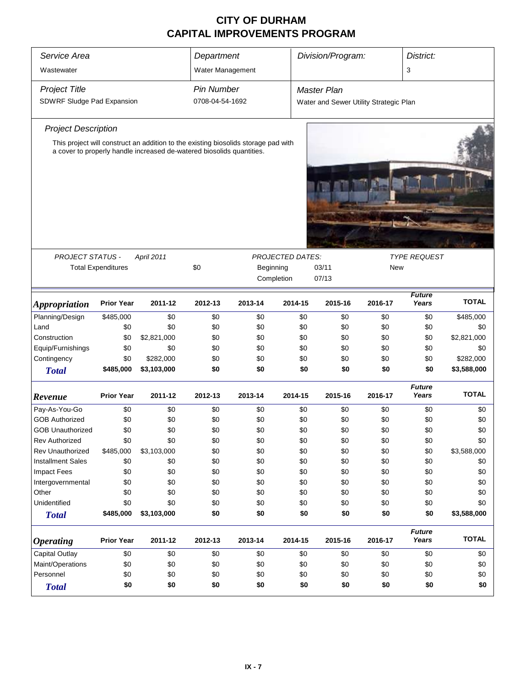| Service Area<br>Wastewater            |                           |                                                                                                                                                             | Department<br>Water Management |                                                         |                         | Division/Program:                      | District:<br>3 |                        |              |  |  |
|---------------------------------------|---------------------------|-------------------------------------------------------------------------------------------------------------------------------------------------------------|--------------------------------|---------------------------------------------------------|-------------------------|----------------------------------------|----------------|------------------------|--------------|--|--|
| <b>Project Title</b>                  |                           |                                                                                                                                                             | <b>Pin Number</b>              |                                                         |                         | <b>Master Plan</b>                     |                |                        |              |  |  |
| SDWRF Sludge Pad Expansion            |                           |                                                                                                                                                             | 0708-04-54-1692                |                                                         |                         | Water and Sewer Utility Strategic Plan |                |                        |              |  |  |
| <b>Project Description</b>            |                           |                                                                                                                                                             |                                |                                                         |                         |                                        |                |                        |              |  |  |
|                                       |                           | This project will construct an addition to the existing biosolids storage pad with<br>a cover to properly handle increased de-watered biosolids quantities. |                                |                                                         |                         |                                        |                |                        |              |  |  |
|                                       |                           |                                                                                                                                                             |                                |                                                         |                         |                                        |                |                        |              |  |  |
|                                       |                           |                                                                                                                                                             |                                |                                                         |                         |                                        |                |                        |              |  |  |
| PROJECT STATUS -                      |                           | April 2011                                                                                                                                                  |                                |                                                         | <b>PROJECTED DATES:</b> | <b>TYPE REQUEST</b>                    |                |                        |              |  |  |
|                                       | <b>Total Expenditures</b> |                                                                                                                                                             | \$0                            | 03/11<br><b>New</b><br>Beginning<br>Completion<br>07/13 |                         |                                        |                |                        |              |  |  |
|                                       |                           |                                                                                                                                                             |                                |                                                         |                         |                                        | <b>Future</b>  |                        |              |  |  |
| <b>Appropriation</b>                  | <b>Prior Year</b>         | 2011-12                                                                                                                                                     | 2012-13                        | 2013-14<br>2014-15<br>2015-16<br>2016-17                |                         |                                        |                |                        | <b>TOTAL</b> |  |  |
| Planning/Design                       | \$485,000                 | \$0                                                                                                                                                         | \$0                            | \$0                                                     | \$0                     | \$0                                    | \$0            | \$0                    | \$485,000    |  |  |
| Land                                  | \$0                       | \$0                                                                                                                                                         | \$0                            | \$0                                                     | \$0                     | \$0                                    | \$0            | \$0                    | \$0          |  |  |
| Construction                          | \$0                       | \$2,821,000                                                                                                                                                 | \$0                            | \$0                                                     | \$0                     | \$0                                    | \$0            | \$0                    | \$2,821,000  |  |  |
| Equip/Furnishings                     | \$0                       | \$0                                                                                                                                                         | \$0                            | \$0                                                     | \$0                     | \$0                                    | \$0            | \$0                    | \$0          |  |  |
| Contingency                           | \$0                       | \$282,000                                                                                                                                                   | \$0                            | \$0                                                     | \$0                     | \$0                                    | \$0            | \$0                    | \$282,000    |  |  |
| <b>Total</b>                          | \$485,000                 | \$3,103,000                                                                                                                                                 | \$0                            | \$0                                                     | \$0                     | \$0                                    | \$0            | \$0                    | \$3,588,000  |  |  |
| Revenue                               | <b>Prior Year</b>         | 2011-12                                                                                                                                                     | 2012-13                        | 2013-14                                                 | 2014-15                 | 2015-16                                | 2016-17        | <b>Future</b><br>Years | <b>TOTAL</b> |  |  |
| Pay-As-You-Go                         | \$0                       | \$0                                                                                                                                                         | \$0                            | \$0                                                     | \$0                     | \$0                                    | \$0            | \$0                    | \$0          |  |  |
| <b>GOB Authorized</b>                 | \$0                       | \$0                                                                                                                                                         | \$0                            | \$0                                                     | \$0                     | \$0                                    | \$0            | \$0                    | \$0          |  |  |
| <b>GOB Unauthorized</b>               | \$0                       | \$0                                                                                                                                                         | \$0                            | \$0                                                     | \$0                     | \$0                                    | \$0            | \$0                    | \$0          |  |  |
| <b>Rev Authorized</b>                 | \$0                       | \$0                                                                                                                                                         | \$0                            | \$0                                                     | \$0                     | \$0                                    | \$0            | \$0                    | \$0          |  |  |
| <b>Rev Unauthorized</b>               | \$485,000                 | \$3,103,000                                                                                                                                                 | \$0                            | \$0                                                     | \$0                     | \$0                                    | \$0            | \$0                    | \$3,588,000  |  |  |
| <b>Installment Sales</b>              | \$0                       | \$0                                                                                                                                                         | \$0                            | \$0                                                     | \$0                     | \$0                                    | \$0            | \$0                    | \$0          |  |  |
| Impact Fees                           | \$0                       | \$0                                                                                                                                                         | \$0                            | \$0                                                     | \$0                     | \$0                                    | \$0            | \$0                    | \$0          |  |  |
| Intergovernmental                     | \$0                       | \$0                                                                                                                                                         | \$0                            | \$0                                                     | \$0                     | \$0                                    | \$0            | \$0                    | \$0          |  |  |
| Other                                 | \$0                       | \$0                                                                                                                                                         | \$0                            | \$0                                                     | \$0                     | \$0                                    | \$0            | \$0                    | \$0          |  |  |
| Unidentified                          | \$0                       | \$0                                                                                                                                                         | \$0                            | \$0                                                     | \$0                     | \$0                                    | \$0            | \$0                    | \$0          |  |  |
| <b>Total</b>                          | \$485,000                 | \$3,103,000                                                                                                                                                 | \$0                            | \$0                                                     | \$0                     | \$0                                    | \$0            | \$0                    | \$3,588,000  |  |  |
| <b>Operating</b>                      | <b>Prior Year</b>         | 2011-12                                                                                                                                                     | 2012-13                        | 2013-14                                                 | 2014-15                 | 2015-16                                | 2016-17        | <b>Future</b><br>Years | <b>TOTAL</b> |  |  |
| <b>Capital Outlay</b>                 | \$0                       | \$0                                                                                                                                                         | \$0                            | \$0                                                     | \$0                     | \$0                                    | \$0            | \$0                    | \$0          |  |  |
| Maint/Operations                      | \$0<br>\$0<br>\$0<br>\$0  |                                                                                                                                                             |                                |                                                         |                         | \$0                                    | \$0            | \$0                    | \$0          |  |  |
| Personnel<br>\$0<br>\$0<br>\$0<br>\$0 |                           |                                                                                                                                                             |                                |                                                         | \$0                     | \$0                                    | \$0            | \$0                    | \$0          |  |  |
| <b>Total</b>                          | \$0                       | \$0                                                                                                                                                         | \$0                            | \$0                                                     | \$0                     | \$0                                    | \$0            | \$0                    | \$0          |  |  |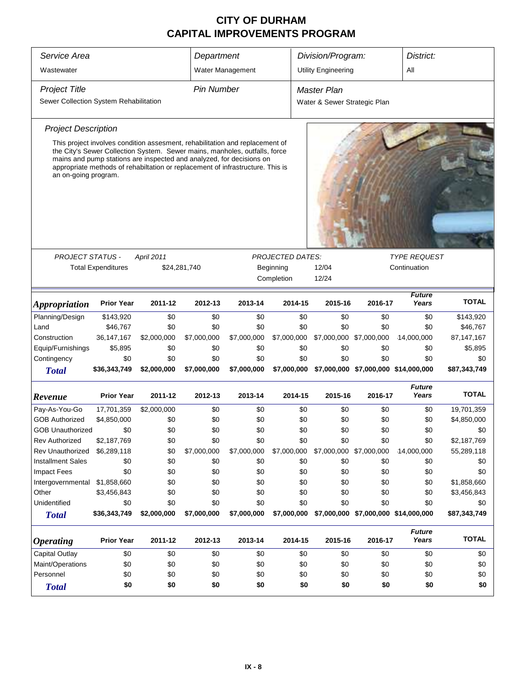| Service Area                                               |                                                                                                                                                                                                                                                                                                                      |             | Department                                                                |                   |                         | Division/Program:<br>District: |                                      |                        |              |  |  |
|------------------------------------------------------------|----------------------------------------------------------------------------------------------------------------------------------------------------------------------------------------------------------------------------------------------------------------------------------------------------------------------|-------------|---------------------------------------------------------------------------|-------------------|-------------------------|--------------------------------|--------------------------------------|------------------------|--------------|--|--|
| Wastewater                                                 |                                                                                                                                                                                                                                                                                                                      |             |                                                                           | Water Management  |                         | <b>Utility Engineering</b>     |                                      | All                    |              |  |  |
| <b>Project Title</b>                                       |                                                                                                                                                                                                                                                                                                                      |             | <b>Pin Number</b>                                                         |                   |                         | <b>Master Plan</b>             |                                      |                        |              |  |  |
| Sewer Collection System Rehabilitation                     |                                                                                                                                                                                                                                                                                                                      |             |                                                                           |                   |                         | Water & Sewer Strategic Plan   |                                      |                        |              |  |  |
| <b>Project Description</b>                                 |                                                                                                                                                                                                                                                                                                                      |             |                                                                           |                   |                         |                                |                                      |                        |              |  |  |
| an on-going program.                                       | This project involves condition assesment, rehabilitation and replacement of<br>the City's Sewer Collection System. Sewer mains, manholes, outfalls, force<br>mains and pump stations are inspected and analyzed, for decisions on<br>appropriate methods of rehabiltation or replacement of infrastructure. This is |             |                                                                           |                   |                         |                                |                                      |                        |              |  |  |
|                                                            |                                                                                                                                                                                                                                                                                                                      |             |                                                                           |                   |                         |                                |                                      |                        |              |  |  |
| <b>PROJECT STATUS -</b>                                    |                                                                                                                                                                                                                                                                                                                      | April 2011  |                                                                           |                   | <b>PROJECTED DATES:</b> | <b>TYPE REQUEST</b>            |                                      |                        |              |  |  |
|                                                            | <b>Total Expenditures</b>                                                                                                                                                                                                                                                                                            |             | 12/04<br>Continuation<br>\$24,281,740<br>Beginning<br>Completion<br>12/24 |                   |                         |                                |                                      |                        |              |  |  |
|                                                            |                                                                                                                                                                                                                                                                                                                      |             |                                                                           |                   |                         |                                |                                      | <b>Future</b>          |              |  |  |
| <i><b>Appropriation</b></i>                                | <b>Prior Year</b>                                                                                                                                                                                                                                                                                                    | 2011-12     | 2012-13                                                                   | 2013-14           | 2014-15                 | 2015-16                        | 2016-17<br>Years                     | <b>TOTAL</b>           |              |  |  |
| Planning/Design                                            | \$143,920                                                                                                                                                                                                                                                                                                            | \$0         | \$0                                                                       | \$0<br>\$0<br>\$0 |                         |                                | \$0                                  | \$0                    | \$143,920    |  |  |
| Land                                                       | \$46,767                                                                                                                                                                                                                                                                                                             | \$0         | \$0                                                                       | \$0               | \$0                     | \$0                            | \$0                                  | \$0                    | \$46,767     |  |  |
| Construction                                               | 36, 147, 167                                                                                                                                                                                                                                                                                                         | \$2,000,000 | \$7,000,000                                                               | \$7,000,000       | \$7,000,000             | \$7,000,000 \$7,000,000        |                                      | 14,000,000             | 87, 147, 167 |  |  |
| Equip/Furnishings                                          | \$5,895                                                                                                                                                                                                                                                                                                              | \$0         | \$0                                                                       | \$0               | \$0                     | \$0                            | \$0                                  | \$0                    | \$5,895      |  |  |
| Contingency                                                | \$0                                                                                                                                                                                                                                                                                                                  | \$0         | \$0                                                                       | \$0               | \$0                     | \$0                            | \$0                                  | \$0                    | \$0          |  |  |
| <b>Total</b>                                               | \$36,343,749                                                                                                                                                                                                                                                                                                         | \$2,000,000 | \$7,000,000                                                               | \$7,000,000       | \$7,000,000             |                                | \$7,000,000 \$7,000,000 \$14,000,000 |                        | \$87,343,749 |  |  |
| Revenue                                                    | <b>Prior Year</b>                                                                                                                                                                                                                                                                                                    | 2011-12     | 2012-13                                                                   | 2013-14           | 2014-15                 | 2015-16                        | 2016-17                              | <b>Future</b><br>Years | <b>TOTAL</b> |  |  |
| Pay-As-You-Go                                              | 17,701,359                                                                                                                                                                                                                                                                                                           | \$2,000,000 | \$0                                                                       | \$0               | \$0                     | \$0                            | \$0                                  | \$0                    | 19,701,359   |  |  |
| <b>GOB Authorized</b>                                      | \$4,850,000                                                                                                                                                                                                                                                                                                          | \$0         | \$0                                                                       | \$0               | \$0                     | \$0                            | \$0                                  | \$0                    | \$4,850,000  |  |  |
| <b>GOB Unauthorized</b>                                    | \$0                                                                                                                                                                                                                                                                                                                  | \$0         | \$0                                                                       | \$0               | \$0                     | \$0                            | \$0                                  | \$0                    | \$0          |  |  |
| <b>Rev Authorized</b>                                      | \$2,187,769                                                                                                                                                                                                                                                                                                          | \$0         | \$0                                                                       | \$0               | \$0                     | \$0                            | \$0                                  | \$0                    | \$2,187,769  |  |  |
| <b>Rev Unauthorized</b>                                    | \$6,289,118                                                                                                                                                                                                                                                                                                          | \$0         | \$7,000,000                                                               | \$7,000,000       | \$7,000,000             | \$7,000,000 \$7,000,000        |                                      | 14,000,000             | 55,289,118   |  |  |
| <b>Installment Sales</b>                                   | \$0                                                                                                                                                                                                                                                                                                                  | \$0         | \$0                                                                       | \$0               | \$0                     | \$0                            | \$0                                  | \$0                    | \$0          |  |  |
| <b>Impact Fees</b>                                         | \$0                                                                                                                                                                                                                                                                                                                  | \$0         | \$0                                                                       | \$0               | \$0                     | \$0                            | \$0                                  | \$0                    | \$0          |  |  |
| Intergovernmental                                          | \$1,858,660                                                                                                                                                                                                                                                                                                          | \$0         | \$0                                                                       | \$0               | \$0                     | \$0                            | \$0                                  | \$0                    | \$1,858,660  |  |  |
| Other                                                      | \$3,456,843                                                                                                                                                                                                                                                                                                          | \$0         | \$0                                                                       | \$0               | \$0                     | \$0                            | \$0                                  | \$0                    | \$3,456,843  |  |  |
| Unidentified                                               | \$0                                                                                                                                                                                                                                                                                                                  | \$0         | \$0                                                                       | \$0               | \$0                     | \$0                            | \$0                                  | \$0                    | \$0          |  |  |
| <b>Total</b>                                               | \$36,343,749                                                                                                                                                                                                                                                                                                         | \$2,000,000 | \$7,000,000                                                               | \$7,000,000       | \$7,000,000             |                                | \$7,000,000 \$7,000,000 \$14,000,000 |                        | \$87,343,749 |  |  |
| <i><b>Operating</b></i>                                    | <b>Prior Year</b><br>2011-12<br>2012-13<br>2013-14<br>2014-15<br>2015-16                                                                                                                                                                                                                                             |             |                                                                           |                   |                         | 2016-17                        | <b>Future</b><br>Years               | <b>TOTAL</b>           |              |  |  |
| <b>Capital Outlay</b>                                      | \$0<br>\$0<br>\$0<br>\$0<br>\$0<br>\$0                                                                                                                                                                                                                                                                               |             |                                                                           |                   |                         | \$0                            | \$0                                  | \$0                    |              |  |  |
| Maint/Operations<br>\$0<br>\$0<br>\$0<br>\$0<br>\$0<br>\$0 |                                                                                                                                                                                                                                                                                                                      |             |                                                                           |                   | \$0                     | \$0                            | \$0                                  |                        |              |  |  |
| Personnel                                                  | \$0                                                                                                                                                                                                                                                                                                                  | \$0         | \$0                                                                       | \$0               | \$0                     | \$0                            | \$0                                  | \$0                    | \$0          |  |  |
| <b>Total</b>                                               | \$0                                                                                                                                                                                                                                                                                                                  | \$0         | \$0                                                                       | \$0               | \$0                     | \$0                            | \$0                                  | \$0                    | \$0          |  |  |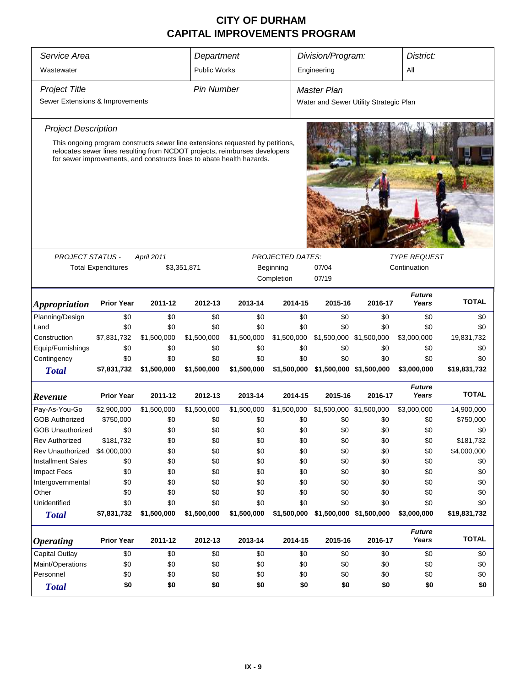| Service Area<br>Division/Program:<br>District:<br>Department             |                                                                             |                                                                                                                   |                     |                                                                                                                                                                                                                                      |                         |                                        |                         |                        |              |  |
|--------------------------------------------------------------------------|-----------------------------------------------------------------------------|-------------------------------------------------------------------------------------------------------------------|---------------------|--------------------------------------------------------------------------------------------------------------------------------------------------------------------------------------------------------------------------------------|-------------------------|----------------------------------------|-------------------------|------------------------|--------------|--|
|                                                                          |                                                                             |                                                                                                                   |                     |                                                                                                                                                                                                                                      |                         |                                        |                         |                        |              |  |
| Wastewater                                                               |                                                                             |                                                                                                                   | <b>Public Works</b> |                                                                                                                                                                                                                                      |                         | Engineering                            |                         | All                    |              |  |
| <b>Project Title</b>                                                     |                                                                             |                                                                                                                   | <b>Pin Number</b>   |                                                                                                                                                                                                                                      |                         | <b>Master Plan</b>                     |                         |                        |              |  |
| Sewer Extensions & Improvements                                          |                                                                             |                                                                                                                   |                     |                                                                                                                                                                                                                                      |                         | Water and Sewer Utility Strategic Plan |                         |                        |              |  |
|                                                                          |                                                                             |                                                                                                                   |                     |                                                                                                                                                                                                                                      |                         |                                        |                         |                        |              |  |
| <b>Project Description</b>                                               |                                                                             |                                                                                                                   |                     |                                                                                                                                                                                                                                      |                         |                                        |                         |                        |              |  |
|                                                                          |                                                                             |                                                                                                                   |                     | This ongoing program constructs sewer line extensions requested by petitions,<br>relocates sewer lines resulting from NCDOT projects, reimburses developers<br>for sewer improvements, and constructs lines to abate health hazards. |                         |                                        |                         |                        |              |  |
|                                                                          |                                                                             |                                                                                                                   |                     |                                                                                                                                                                                                                                      |                         |                                        |                         |                        |              |  |
|                                                                          |                                                                             |                                                                                                                   |                     |                                                                                                                                                                                                                                      |                         |                                        |                         |                        |              |  |
|                                                                          |                                                                             |                                                                                                                   |                     |                                                                                                                                                                                                                                      |                         |                                        |                         |                        |              |  |
|                                                                          |                                                                             |                                                                                                                   |                     |                                                                                                                                                                                                                                      |                         |                                        |                         |                        |              |  |
|                                                                          |                                                                             |                                                                                                                   |                     |                                                                                                                                                                                                                                      |                         |                                        |                         |                        |              |  |
|                                                                          |                                                                             |                                                                                                                   |                     |                                                                                                                                                                                                                                      |                         |                                        |                         |                        |              |  |
| <b>PROJECT STATUS -</b>                                                  |                                                                             | April 2011                                                                                                        |                     |                                                                                                                                                                                                                                      | <b>PROJECTED DATES:</b> |                                        |                         | <b>TYPE REQUEST</b>    |              |  |
|                                                                          | <b>Total Expenditures</b>                                                   |                                                                                                                   | \$3,351,871         |                                                                                                                                                                                                                                      | Beginning               | 07/04                                  |                         | Continuation           |              |  |
|                                                                          |                                                                             |                                                                                                                   |                     |                                                                                                                                                                                                                                      | Completion              | 07/19                                  |                         |                        |              |  |
|                                                                          |                                                                             |                                                                                                                   |                     |                                                                                                                                                                                                                                      |                         |                                        |                         |                        |              |  |
| <i><b>Appropriation</b></i>                                              | <b>Prior Year</b>                                                           | 2011-12                                                                                                           | 2012-13             | 2013-14                                                                                                                                                                                                                              | 2014-15                 | 2015-16                                | 2016-17                 | <b>Future</b><br>Years | <b>TOTAL</b> |  |
| Planning/Design                                                          | \$0                                                                         | \$0                                                                                                               | \$0                 | \$0                                                                                                                                                                                                                                  | \$0                     | \$0                                    | \$0                     | \$0                    | \$0          |  |
| Land                                                                     | \$0                                                                         | \$0                                                                                                               | \$0                 | \$0                                                                                                                                                                                                                                  | \$0                     | \$0                                    | \$0                     | \$0                    | \$0          |  |
| Construction                                                             | \$7,831,732                                                                 | \$1,500,000                                                                                                       | \$1,500,000         | \$1,500,000                                                                                                                                                                                                                          | \$1,500,000             |                                        | \$1,500,000 \$1,500,000 | \$3,000,000            | 19,831,732   |  |
| Equip/Furnishings                                                        | \$0                                                                         | \$0                                                                                                               | \$0                 | \$0                                                                                                                                                                                                                                  | \$0                     | \$0                                    | \$0                     | \$0                    | \$0          |  |
| Contingency                                                              | \$0                                                                         | \$0                                                                                                               | \$0                 | \$0                                                                                                                                                                                                                                  | \$0                     | \$0                                    | \$0                     | \$0                    | \$0          |  |
| <b>Total</b>                                                             | \$7,831,732                                                                 | \$1,500,000                                                                                                       | \$1,500,000         | \$1,500,000                                                                                                                                                                                                                          | \$1,500,000             |                                        | \$1,500,000 \$1,500,000 | \$3,000,000            | \$19,831,732 |  |
|                                                                          |                                                                             |                                                                                                                   |                     |                                                                                                                                                                                                                                      |                         |                                        |                         | <b>Future</b>          |              |  |
| Revenue                                                                  | <b>Prior Year</b>                                                           | 2011-12                                                                                                           | 2012-13             | 2013-14                                                                                                                                                                                                                              | 2014-15                 | 2015-16                                | 2016-17                 | Years                  | <b>TOTAL</b> |  |
| Pay-As-You-Go                                                            | \$2,900,000                                                                 | \$1,500,000                                                                                                       | \$1,500,000         | \$1,500,000                                                                                                                                                                                                                          | \$1,500,000             |                                        | \$1,500,000 \$1,500,000 | \$3,000,000            | 14,900,000   |  |
| <b>GOB Authorized</b>                                                    | \$750,000                                                                   | \$0                                                                                                               | \$0                 | \$0                                                                                                                                                                                                                                  | \$0                     | \$0                                    | \$0                     | \$0                    | \$750,000    |  |
| <b>GOB Unauthorized</b>                                                  | \$0                                                                         | \$0                                                                                                               | \$0                 | \$0                                                                                                                                                                                                                                  | \$0                     | \$0                                    | \$0                     | \$0                    | \$0          |  |
| <b>Rev Authorized</b>                                                    | \$181,732                                                                   | \$0                                                                                                               | \$0                 | \$0                                                                                                                                                                                                                                  | \$0                     | \$0                                    | \$0                     | \$0                    | \$181,732    |  |
| <b>Rev Unauthorized</b>                                                  | \$4,000,000                                                                 | \$0                                                                                                               | \$0                 | \$0                                                                                                                                                                                                                                  | \$0                     | \$0                                    | \$0                     | \$0                    | \$4,000,000  |  |
| <b>Installment Sales</b>                                                 | \$0                                                                         | \$0                                                                                                               | \$0                 | \$0                                                                                                                                                                                                                                  | \$0                     | \$0                                    | \$0                     | \$0                    | \$0          |  |
| <b>Impact Fees</b>                                                       | \$0                                                                         | \$0                                                                                                               | \$0                 | \$0                                                                                                                                                                                                                                  | \$0                     | \$0                                    | \$0                     | \$0                    | \$0          |  |
| Intergovernmental                                                        | \$0                                                                         | \$0                                                                                                               | \$0                 | \$0                                                                                                                                                                                                                                  | \$0                     | \$0                                    | \$0                     | \$0                    | \$0          |  |
| Other                                                                    | \$0                                                                         | \$0                                                                                                               | \$0                 | \$0                                                                                                                                                                                                                                  | \$0                     | \$0                                    | \$0                     | \$0                    | \$0          |  |
| Unidentified                                                             | \$0                                                                         | \$0                                                                                                               | \$0                 | \$0                                                                                                                                                                                                                                  | \$0                     | \$0                                    | \$0                     | \$0                    | \$0          |  |
| <b>Total</b>                                                             |                                                                             | \$7,831,732<br>\$1,500,000<br>\$1,500,000<br>\$1,500,000<br>\$1,500,000<br>\$1,500,000 \$1,500,000<br>\$3,000,000 |                     |                                                                                                                                                                                                                                      |                         |                                        |                         | \$19,831,732           |              |  |
|                                                                          | <b>Prior Year</b>                                                           | 2011-12                                                                                                           | 2012-13             | 2013-14                                                                                                                                                                                                                              | 2014-15                 | 2015-16                                | 2016-17                 | <b>Future</b><br>Years | <b>TOTAL</b> |  |
| <b>Operating</b>                                                         |                                                                             |                                                                                                                   |                     |                                                                                                                                                                                                                                      |                         |                                        |                         |                        |              |  |
| <b>Capital Outlay</b><br>Maint/Operations                                | \$0                                                                         | \$0                                                                                                               | \$0<br>\$0          | \$0                                                                                                                                                                                                                                  | \$0                     | \$0                                    | \$0<br>\$0              | \$0                    | \$0          |  |
|                                                                          | \$0                                                                         | \$0                                                                                                               |                     | \$0                                                                                                                                                                                                                                  | \$0                     | \$0                                    |                         | \$0                    | \$0          |  |
| \$0<br>Personnel<br>\$0<br>\$0<br>\$0<br>\$0<br>\$0<br>\$0<br>\$0<br>\$0 |                                                                             |                                                                                                                   |                     |                                                                                                                                                                                                                                      |                         |                                        |                         |                        |              |  |
|                                                                          | \$0<br>\$0<br>\$0<br>\$0<br>\$0<br>\$0<br>\$0<br>\$0<br>\$0<br><b>Total</b> |                                                                                                                   |                     |                                                                                                                                                                                                                                      |                         |                                        |                         |                        |              |  |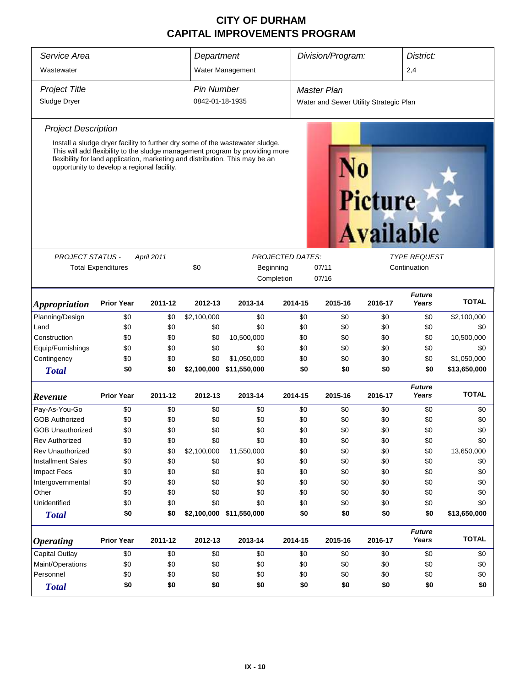| Service Area                                                           |                                                                                                                                                                                                                                                                                              |            | Department                           |                          |                                                         | Division/Program:  |                                    |                                        | District:              |              |
|------------------------------------------------------------------------|----------------------------------------------------------------------------------------------------------------------------------------------------------------------------------------------------------------------------------------------------------------------------------------------|------------|--------------------------------------|--------------------------|---------------------------------------------------------|--------------------|------------------------------------|----------------------------------------|------------------------|--------------|
| Wastewater                                                             |                                                                                                                                                                                                                                                                                              |            |                                      | Water Management         |                                                         |                    |                                    |                                        | 2,4                    |              |
| <b>Project Title</b><br>Sludge Dryer                                   |                                                                                                                                                                                                                                                                                              |            | <b>Pin Number</b><br>0842-01-18-1935 |                          |                                                         | <b>Master Plan</b> |                                    | Water and Sewer Utility Strategic Plan |                        |              |
| <b>Project Description</b>                                             |                                                                                                                                                                                                                                                                                              |            |                                      |                          |                                                         |                    |                                    |                                        |                        |              |
|                                                                        | Install a sludge dryer facility to further dry some of the wastewater sludge.<br>This will add flexibility to the sludge management program by providing more<br>flexibility for land application, marketing and distribution. This may be an<br>opportunity to develop a regional facility. |            |                                      |                          |                                                         |                    | <b>Picture</b><br><b>Available</b> |                                        |                        |              |
| <b>PROJECT STATUS -</b>                                                |                                                                                                                                                                                                                                                                                              | April 2011 |                                      |                          | <b>PROJECTED DATES:</b>                                 |                    |                                    |                                        | <b>TYPE REQUEST</b>    |              |
|                                                                        | <b>Total Expenditures</b>                                                                                                                                                                                                                                                                    |            | \$0                                  | Beginning                | 07/11<br>Continuation<br>Completion<br>07/16            |                    |                                    |                                        |                        |              |
| <i><b>Appropriation</b></i>                                            | <b>Prior Year</b>                                                                                                                                                                                                                                                                            | 2011-12    | 2012-13                              | 2013-14                  | <b>Future</b><br>Years<br>2014-15<br>2015-16<br>2016-17 |                    |                                    |                                        |                        | <b>TOTAL</b> |
| Planning/Design                                                        | \$0                                                                                                                                                                                                                                                                                          | \$0        | \$2,100,000                          | \$0                      | \$0<br>\$0                                              |                    |                                    | \$0                                    | \$0                    | \$2,100,000  |
| Land                                                                   | \$0                                                                                                                                                                                                                                                                                          | \$0        | \$0                                  | \$0                      |                                                         | \$0                | \$0                                | \$0                                    | \$0                    | \$0          |
| Construction                                                           | \$0                                                                                                                                                                                                                                                                                          | \$0        | \$0                                  | 10,500,000               |                                                         | \$0                | \$0                                | \$0                                    | \$0                    | 10,500,000   |
| Equip/Furnishings                                                      | \$0                                                                                                                                                                                                                                                                                          | \$0        | \$0                                  | \$0                      |                                                         | \$0                | \$0                                | \$0                                    | \$0                    | \$0          |
| Contingency                                                            | \$0                                                                                                                                                                                                                                                                                          | \$0        | \$0                                  | \$1,050,000              |                                                         | \$0                | \$0                                | \$0                                    | \$0                    | \$1,050,000  |
| <b>Total</b>                                                           | \$0                                                                                                                                                                                                                                                                                          | \$0        |                                      | \$2,100,000 \$11,550,000 |                                                         | \$0                | \$0                                | \$0                                    | \$0                    | \$13,650,000 |
| Revenue                                                                | <b>Prior Year</b>                                                                                                                                                                                                                                                                            | 2011-12    | 2012-13                              | 2013-14                  | 2014-15                                                 |                    | 2015-16                            | 2016-17                                | <b>Future</b><br>Years | <b>TOTAL</b> |
| Pay-As-You-Go                                                          | \$0                                                                                                                                                                                                                                                                                          | \$0        | \$0                                  | \$0                      |                                                         | \$0                | \$0                                | \$0                                    | \$0                    | \$0          |
| <b>GOB Authorized</b>                                                  | \$0                                                                                                                                                                                                                                                                                          | \$0        | \$0                                  | \$0                      |                                                         | \$0                | \$0                                | \$0                                    | \$0                    | \$0          |
| <b>GOB Unauthorized</b>                                                | \$0                                                                                                                                                                                                                                                                                          | \$0        | \$0                                  | \$0                      |                                                         | \$0                | \$0                                | \$0                                    | \$0                    | \$0          |
| <b>Rev Authorized</b>                                                  | \$0                                                                                                                                                                                                                                                                                          | \$0        | \$0                                  | \$0                      |                                                         | \$0                | \$0                                | \$0                                    | \$0                    | \$0          |
| Rev Unauthorized                                                       | \$0                                                                                                                                                                                                                                                                                          | \$0        | \$2,100,000                          | 11,550,000               |                                                         | \$0                | \$0                                | \$0                                    | \$0                    | 13,650,000   |
| <b>Installment Sales</b>                                               | \$0                                                                                                                                                                                                                                                                                          | \$0        | \$0                                  | \$0                      |                                                         | \$0                | \$0                                | \$0                                    | \$0                    | \$0          |
| Impact Fees                                                            | \$0                                                                                                                                                                                                                                                                                          | \$0        | \$0                                  | \$0                      |                                                         | \$0                | \$0                                | \$0                                    | \$0                    | \$0          |
| Intergovernmental                                                      | \$0                                                                                                                                                                                                                                                                                          | \$0        | \$0                                  | \$0                      |                                                         | \$0                | \$0                                | \$0                                    | \$0                    | \$0          |
| Other                                                                  | \$0                                                                                                                                                                                                                                                                                          | \$0        | \$0                                  | \$0                      |                                                         | \$0                | \$0                                | \$0                                    | \$0                    | \$0          |
| Unidentified                                                           | \$0                                                                                                                                                                                                                                                                                          | \$0        | \$0                                  | \$0                      |                                                         | \$0                | \$0                                | \$0                                    | \$0                    | \$0          |
| <b>Total</b>                                                           | \$0                                                                                                                                                                                                                                                                                          | \$0        |                                      | \$2,100,000 \$11,550,000 |                                                         | \$0                | \$0                                | \$0                                    | \$0                    | \$13,650,000 |
| <b>Operating</b>                                                       | <b>Prior Year</b>                                                                                                                                                                                                                                                                            | 2011-12    | 2012-13                              | 2013-14                  | 2014-15                                                 |                    | 2015-16                            | 2016-17                                | <b>Future</b><br>Years | <b>TOTAL</b> |
| <b>Capital Outlay</b><br>\$0<br>\$0<br>\$0<br>\$0<br>\$0<br>\$0<br>\$0 |                                                                                                                                                                                                                                                                                              |            |                                      |                          | \$0                                                     | \$0                |                                    |                                        |                        |              |
| Maint/Operations                                                       | \$0                                                                                                                                                                                                                                                                                          | \$0        | \$0                                  | \$0                      |                                                         | \$0                | \$0                                | \$0                                    | \$0                    | \$0          |
| Personnel                                                              | \$0                                                                                                                                                                                                                                                                                          | \$0        | \$0                                  | \$0                      |                                                         | \$0                | \$0                                | \$0                                    | \$0                    | \$0          |
| <b>Total</b>                                                           | \$0                                                                                                                                                                                                                                                                                          | \$0        | \$0                                  | \$0                      |                                                         | \$0                | \$0                                | \$0                                    | \$0                    | \$0          |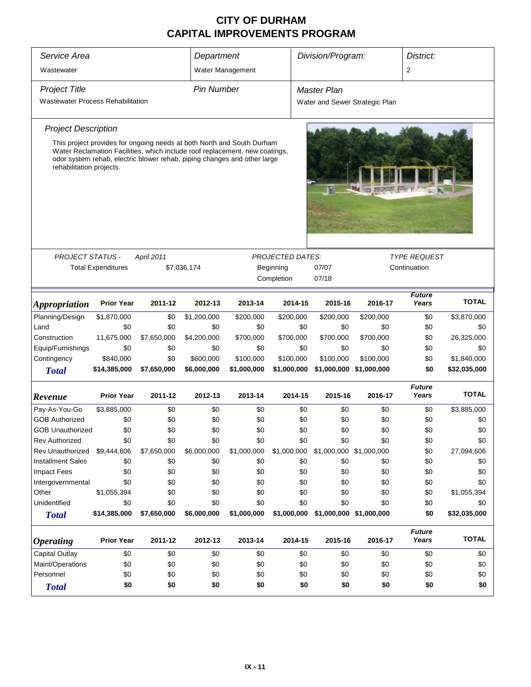| Service Area                             | Department                                                                                                                                                                                                                        |             |                   |                  |                         |                         | Division/Program:<br>District: |                        |              |  |  |
|------------------------------------------|-----------------------------------------------------------------------------------------------------------------------------------------------------------------------------------------------------------------------------------|-------------|-------------------|------------------|-------------------------|-------------------------|--------------------------------|------------------------|--------------|--|--|
| Wastewater                               |                                                                                                                                                                                                                                   |             |                   | Water Management |                         |                         |                                | 2                      |              |  |  |
| <b>Project Title</b>                     |                                                                                                                                                                                                                                   |             | <b>Pin Number</b> |                  |                         | <b>Master Plan</b>      |                                |                        |              |  |  |
| <b>Wastewater Process Rehabilitation</b> |                                                                                                                                                                                                                                   |             |                   |                  |                         |                         | Water and Sewer Strategic Plan |                        |              |  |  |
| <b>Project Description</b>               |                                                                                                                                                                                                                                   |             |                   |                  |                         |                         |                                |                        |              |  |  |
| rehabilitation projects.                 | This project provides for ongoing needs at both North and South Durham<br>Water Reclamation Facilities, which include roof replacement, new coatings,<br>odor system rehab, electric blower rehab, piping changes and other large |             |                   |                  |                         |                         |                                |                        |              |  |  |
| <b>PROJECT STATUS -</b>                  |                                                                                                                                                                                                                                   | April 2011  |                   |                  | <b>PROJECTED DATES:</b> |                         |                                | <b>TYPE REQUEST</b>    |              |  |  |
|                                          | <b>Total Expenditures</b>                                                                                                                                                                                                         |             | \$7,036,174       | Beginning        |                         | Continuation            |                                |                        |              |  |  |
|                                          |                                                                                                                                                                                                                                   |             |                   |                  | Completion              |                         |                                |                        |              |  |  |
| <i><b>Appropriation</b></i>              | <b>Prior Year</b>                                                                                                                                                                                                                 | 2011-12     | 2012-13           | 2013-14          | 2014-15                 | 2015-16                 | <b>TOTAL</b>                   |                        |              |  |  |
| Planning/Design                          | \$1,870,000                                                                                                                                                                                                                       | \$0         | \$1,200,000       | \$200,000        | \$200,000               | \$200,000               | \$200,000                      | \$0                    | \$3,870,000  |  |  |
| Land                                     | \$0                                                                                                                                                                                                                               | \$0         | \$0               | \$0              | \$0                     | \$0                     | \$0                            | \$0                    | \$0          |  |  |
| Construction                             | 11,675,000                                                                                                                                                                                                                        | \$7,650,000 | \$4,200,000       | \$700,000        | \$700,000               | \$700,000               | \$700,000                      | \$0                    | 26,325,000   |  |  |
| Equip/Furnishings                        | \$0                                                                                                                                                                                                                               | \$0         | \$0               | \$0              | \$0                     | \$0                     | \$0                            | \$0                    | \$0          |  |  |
| Contingency                              | \$840,000                                                                                                                                                                                                                         | \$0         | \$600,000         | \$100,000        | \$100,000               | \$100,000               | \$100,000                      | \$0                    | \$1,840,000  |  |  |
| <b>Total</b>                             | \$14,385,000                                                                                                                                                                                                                      | \$7,650,000 | \$6,000,000       | \$1,000,000      | \$1,000,000             | \$1,000,000             | \$1,000,000                    | \$0                    | \$32,035,000 |  |  |
| Revenue                                  | <b>Prior Year</b>                                                                                                                                                                                                                 | 2011-12     | 2012-13           | 2013-14          | 2014-15                 | 2015-16                 | 2016-17                        | <b>Future</b><br>Years | <b>TOTAL</b> |  |  |
| Pay-As-You-Go                            | \$3,885,000                                                                                                                                                                                                                       | \$0         | \$0               | \$0              | \$0                     | \$0                     | \$0                            | \$0                    | \$3,885,000  |  |  |
| <b>GOB Authorized</b>                    | \$0                                                                                                                                                                                                                               | \$0         | \$0               | \$0              | \$0                     | \$0                     | \$0                            | \$0                    | \$0          |  |  |
| <b>GOB Unauthorized</b>                  | \$0                                                                                                                                                                                                                               | \$0         | \$0               | \$0              | \$0                     | \$0                     | \$0                            | \$0                    | \$0          |  |  |
| <b>Rev Authorized</b>                    | \$0                                                                                                                                                                                                                               | \$0         | \$0               | \$0              | \$0                     | \$0                     | \$0                            | \$0                    | \$0          |  |  |
| <b>Rev Unauthorized</b>                  | \$9,444,606                                                                                                                                                                                                                       | \$7,650,000 | \$6,000,000       | \$1,000,000      | \$1,000,000             | \$1,000,000 \$1,000,000 |                                | \$0                    | 27,094,606   |  |  |
| <b>Installment Sales</b>                 | \$0                                                                                                                                                                                                                               | \$0         | \$0               | \$0              | \$0                     | \$0                     | \$0                            | \$0                    | \$0          |  |  |
| Impact Fees                              | \$0                                                                                                                                                                                                                               | \$0         | \$0               | \$0              | \$0                     | \$0                     | \$0                            | \$0                    | \$0          |  |  |
| Intergovernmental                        | \$0                                                                                                                                                                                                                               | \$0         | \$0               | \$0              | \$0                     | \$0                     | \$0                            | \$0                    | \$0          |  |  |
| Other                                    | \$1,055,394                                                                                                                                                                                                                       | \$0         | \$0               | \$0              | \$0                     | \$0                     | \$0                            | \$0                    | \$1,055,394  |  |  |
| Unidentified                             | \$0                                                                                                                                                                                                                               | \$0         | \$0               | \$0              | \$0                     | \$0                     | \$0                            | \$0                    | \$0          |  |  |
| <b>Total</b>                             | \$14,385,000                                                                                                                                                                                                                      | \$7,650,000 | \$6,000,000       | \$1,000,000      | \$1,000,000             | \$1,000,000 \$1,000,000 |                                | \$0                    | \$32,035,000 |  |  |
| <b>Operating</b>                         | <b>Prior Year</b>                                                                                                                                                                                                                 | 2011-12     | 2012-13           | 2013-14          | 2014-15                 | 2015-16                 | 2016-17                        | <b>Future</b><br>Years | <b>TOTAL</b> |  |  |
| <b>Capital Outlay</b>                    | \$0                                                                                                                                                                                                                               | \$0         | \$0               | \$0              | \$0                     | \$0                     | \$0                            | \$0                    | \$0          |  |  |
| Maint/Operations                         | \$0                                                                                                                                                                                                                               | \$0         | \$0               | \$0              | \$0                     | \$0                     | \$0                            | \$0                    | \$0          |  |  |
| Personnel                                | \$0                                                                                                                                                                                                                               | \$0         | \$0               | \$0              | \$0                     | \$0                     | \$0                            | \$0                    | \$0          |  |  |
| <b>Total</b>                             | \$0                                                                                                                                                                                                                               | \$0         | \$0               | \$0              | \$0                     | \$0                     | \$0                            |                        |              |  |  |